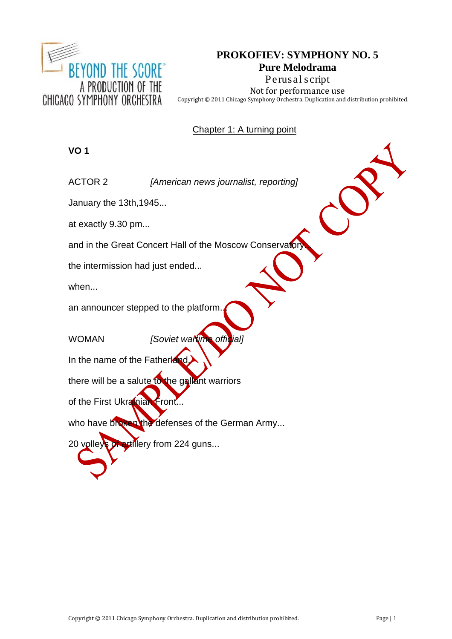

# **PROKOFIEV: SYMPHONY NO. 5 Pure Melodrama Perusal script**

Not for performance use Copyright © 2011 Chicago Symphony Orchestra. Duplication and distribution prohibited.

Chapter 1: A turning point

# **VO 1**

ACTOR 2 *[American news journalist, reporting]*

January the 13th,1945...

at exactly 9.30 pm...

and in the Great Concert Hall of the Moscow Conservatory

the intermission had just ended...

when...

an announcer stepped to the platform.

WOMAN *[Soviet wartime official]*

In the name of the Fatherland

there will be a salute to the gallant warriors

of the First Ukrainian Front...

who have broken the defenses of the German Army...

20 volleys of artillery from 224 guns...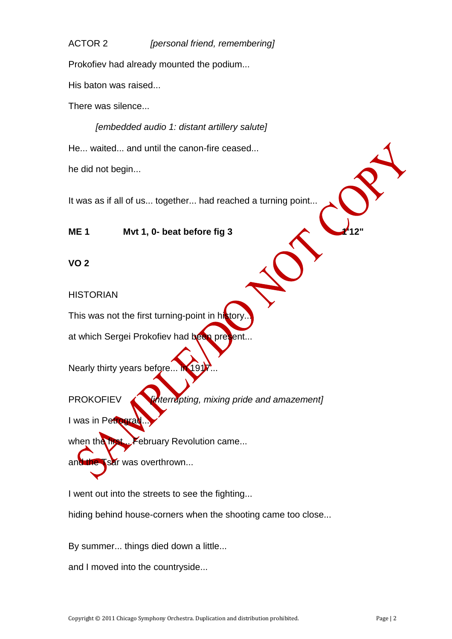# ACTOR 2 *[personal friend, remembering]*

Prokofiev had already mounted the podium...

His baton was raised...

There was silence...

*[embedded audio 1: distant artillery salute]* He... waited... and until the canon-fire ceased... he did not begin...

It was as if all of us... together... had reached a turning point...

**ME 1 Mvt 1, 0-** beat before fig 3

**VO 2**

**HISTORIAN** 

This was not the first turning-point in history.

at which Sergei Prokofiev had been present...

Nearly thirty years before...

PROKOFIEV *interrupting, mixing pride and amazement]* 

I was in Petrogra

when the first... February Revolution came...

and the Tsar was overthrown...

I went out into the streets to see the fighting...

hiding behind house-corners when the shooting came too close...

By summer... things died down a little...

and I moved into the countryside...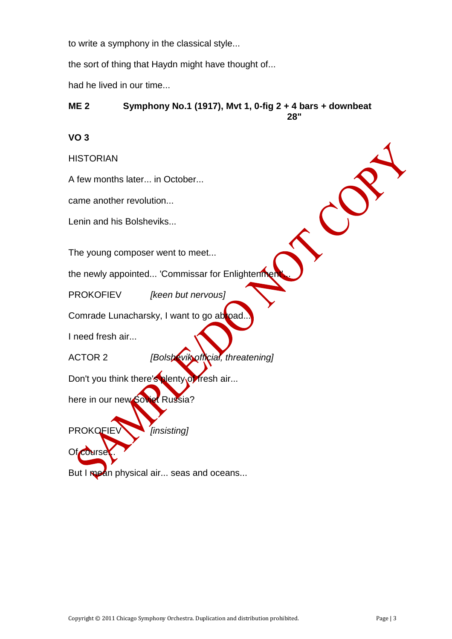to write a symphony in the classical style...

the sort of thing that Haydn might have thought of...

had he lived in our time...

#### **ME 2 Symphony No.1 (1917), Mvt 1, 0-fig 2 + 4 bars + downbeat 28"**

# **VO 3**

**HISTORIAN** 

A few months later... in October...

came another revolution...

Lenin and his Bolsheviks...

The young composer went to meet...

the newly appointed... 'Commissar for Enlightenment'

PROKOFIEV *[keen but nervous]*

Comrade Lunacharsky, I want to go abroad..

I need fresh air...

Of course

ACTOR 2 *[Bolshevik official, threatening]*

Don't you think there's plenty of fresh air...

here in our new Soviet Russia?

PROKOFIEV *[insisting]*

But I mean physical air... seas and oceans...

C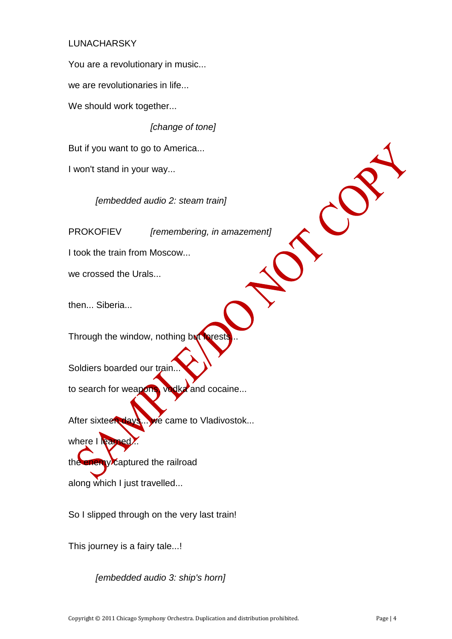# LUNACHARSKY

You are a revolutionary in music...

we are revolutionaries in life...

We should work together...

*[change of tone]*

But if you want to go to America...

I won't stand in your way...

*[embedded audio 2: steam train]*

PROKOFIEV *[remembering, in amazement]*

I took the train from Moscow...

we crossed the Urals...

then... Siberia...

Through the window, nothing but fores

Soldiers boarded our train.

to search for weapons, vodka and cocaine...

After sixteen days... we came to Vladivostok...

where I learned the enemy captured the railroad along which I just travelled...

So I slipped through on the very last train!

This journey is a fairy tale...!

*[embedded audio 3: ship's horn]*

CC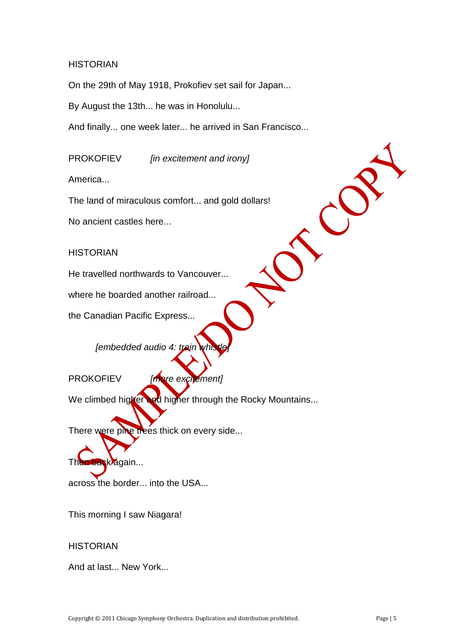#### **HISTORIAN**

On the 29th of May 1918, Prokofiev set sail for Japan...

By August the 13th... he was in Honolulu...

And finally... one week later... he arrived in San Francisco...

PROKOFIEV *[in excitement and irony]*

America...

The land of miraculous comfort... and gold dollars!

No ancient castles here...

#### **HISTORIAN**

He travelled northwards to Vancouver...

where he boarded another railroad...

the Canadian Pacific Express...

*[embedded audio 4: train*]

PROKOFIEV *[more excitement]*

We climbed higher and higher through the Rocky Mountains...

There were pine trees thick on every side...

Then back again...

across the border... into the USA...

This morning I saw Niagara!

#### **HISTORIAN**

And at last... New York...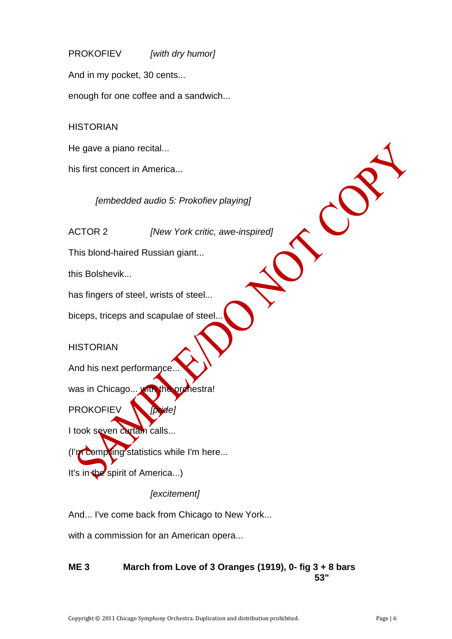PROKOFIEV *[with dry humor]* And in my pocket, 30 cents... enough for one coffee and a sandwich...

**HISTORIAN** 

He gave a piano recital...

his first concert in America...

*[embedded audio 5: Prokofiev playing]*

ACTOR 2 *[New York critic, awe-inspired]*

This blond-haired Russian giant...

this Bolshevik...

has fingers of steel, wrists of steel...

biceps, triceps and scapulae of steel...

**HISTORIAN** 

And his next performance.

was in Chicago... with the orchestra!

PROKOFIEV *[pride]*

I took seven curtain calls...

(I'm compling statistics while I'm here...

It's in the spirit of America...)

*[excitement]*

And... I've come back from Chicago to New York...

with a commission for an American opera...

# **ME 3 March from Love of 3 Oranges (1919), 0- fig 3 + 8 bars 53"**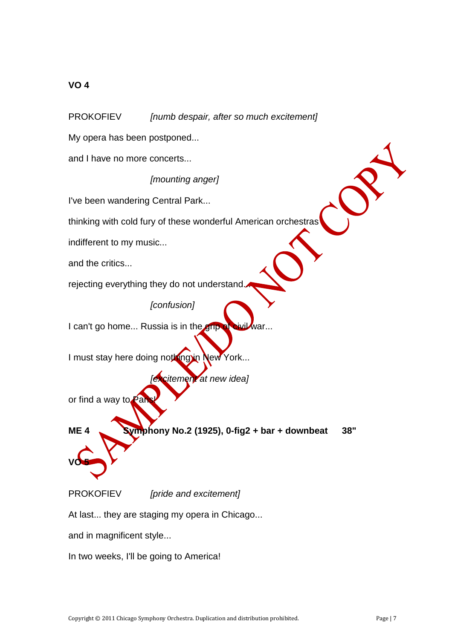# **VO 4**

PROKOFIEV *[numb despair, after so much excitement]*

My opera has been postponed...

and I have no more concerts...

*[mounting anger]*

I've been wandering Central Park...

thinking with cold fury of these wonderful American orchestras

indifferent to my music...

and the critics...

rejecting everything they do not understand.

*[confusion]*

I can't go home... Russia is in the grip of civil war...

I must stay here doing nothing in New York...

*[excitement at new idea]*

or find a way to

**ME 4 Symphony No.2 (1925), 0-fig2 + bar + downbeat 38"**

**VO 5**

PROKOFIEV *[pride and excitement]*

At last... they are staging my opera in Chicago...

and in magnificent style...

In two weeks, I'll be going to America!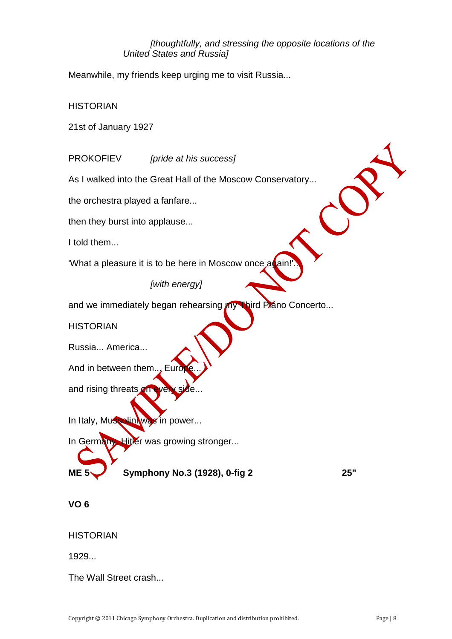#### *[thoughtfully, and stressing the opposite locations of the United States and Russia]*

Meanwhile, my friends keep urging me to visit Russia...

**HISTORIAN** 

21st of January 1927

PROKOFIEV *[pride at his success]*

As I walked into the Great Hall of the Moscow Conservatory...

the orchestra played a fanfare...

then they burst into applause...

I told them...

'What a pleasure it is to be here in Moscow once a ain

*[with energy]*

and we immediately began rehearsing my Third Plano Concerto...

**HISTORIAN** 

Russia... America...

And in between them... Eur

and rising threats on

In Italy, Mussolini was in power...

In Germany, Hitler was growing stronger...

**ME 5 Symphony No.3 (1928), 0-fig 2 25"**

**VO 6**

**HISTORIAN** 

1929...

The Wall Street crash...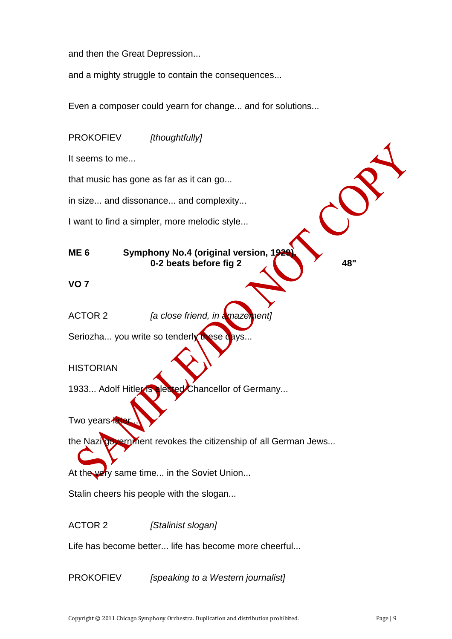and then the Great Depression...

and a mighty struggle to contain the consequences...

Even a composer could yearn for change... and for solutions...

| <b>PROKOFIEV</b><br>[thoughtfully]                                                        |
|-------------------------------------------------------------------------------------------|
| It seems to me                                                                            |
| that music has gone as far as it can go                                                   |
| in size and dissonance and complexity                                                     |
| I want to find a simpler, more melodic style                                              |
| Symphony No.4 (original version, 1929<br>ME <sub>6</sub><br>0-2 beats before fig 2<br>48" |
| VO <sub>7</sub>                                                                           |
| [a close friend, in amazement]<br><b>ACTOR 2</b>                                          |
| Seriozha you write so tenderly these days                                                 |
| <b>HISTORIAN</b>                                                                          |
| 1933 Adolf Hitler is elected Chancellor of Germany                                        |
| Two years later                                                                           |
| the Nazilgovernment revokes the citizenship of all German Jews                            |
| At the very same time in the Soviet Union                                                 |
| Stalin cheers his people with the slogan                                                  |
| <b>ACTOR 2</b><br>[Stalinist slogan]                                                      |
| Life has become better life has become more cheerful                                      |

PROKOFIEV *[speaking to a Western journalist]*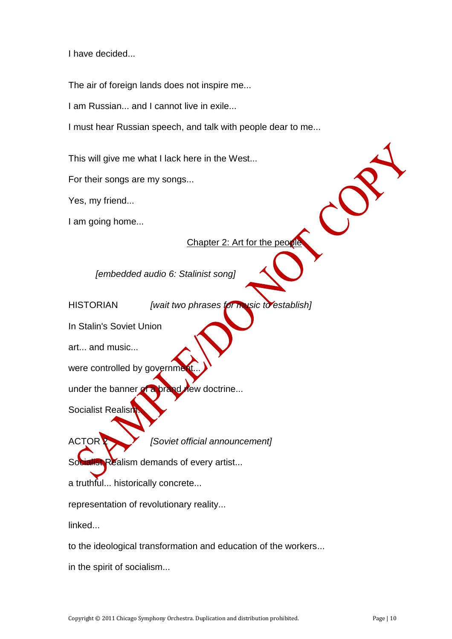I have decided...

The air of foreign lands does not inspire me...

I am Russian... and I cannot live in exile...

I must hear Russian speech, and talk with people dear to me...

This will give me what I lack here in the West...

For their songs are my songs...

Yes, my friend...

I am going home...

Chapter 2: Art for the people

*[embedded audio 6: Stalinist song]*

HISTORIAN *[wait two phrases for music to establish]*

In Stalin's Soviet Union

art... and music...

were controlled by governm

under the banner of a brand new doctrine...

Socialist Realish

ACTOR 2 *[Soviet official announcement]*

Socialist Realism demands of every artist...

a truthful... historically concrete...

representation of revolutionary reality...

linked...

to the ideological transformation and education of the workers...

in the spirit of socialism...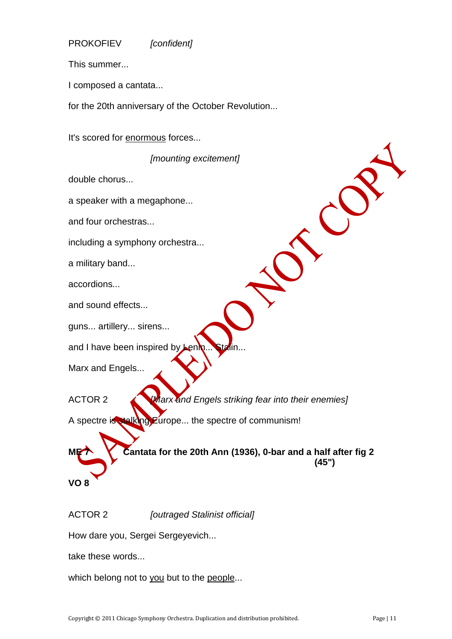PROKOFIEV *[confident]*

This summer...

I composed a cantata...

for the 20th anniversary of the October Revolution...

It's scored for enormous forces...

*[mounting excitement]*

double chorus...

a speaker with a megaphone...

and four orchestras...

including a symphony orchestra...

a military band...

accordions...

and sound effects...

guns... artillery... sirens...

and I have been inspired by

Marx and Engels...

ACTOR 2 *[Marx and Engels striking fear into their enemies]*

A spectre is stalking Europe... the spectre of communism!

**ME 7 Cantata for the 20th Ann (1936), 0-bar and a half after fig 2 (45")**

**VO 8**

ACTOR 2 *[outraged Stalinist official]*

How dare you, Sergei Sergeyevich...

take these words...

which belong not to you but to the people...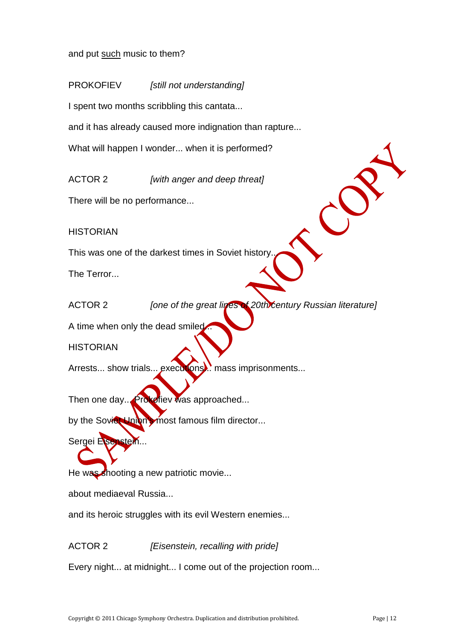and put such music to them?

PROKOFIEV *[still not understanding]*

I spent two months scribbling this cantata...

and it has already caused more indignation than rapture...

What will happen I wonder... when it is performed?

ACTOR 2 *[with anger and deep threat]*

There will be no performance...

**HISTORIAN** 

This was one of the darkest times in Soviet history.

The Terror...

ACTOR 2 *[one of the great lines of 20th century Russian literature]*

A time when only the dead smiled...

**HISTORIAN** 

Arrests... show trials... executions... mass imprisonments...

Then one day... Prokefiev was approached...

by the Soviet Union most famous film director...

Sergei Eisenstein

He was shooting a new patriotic movie...

about mediaeval Russia...

and its heroic struggles with its evil Western enemies...

ACTOR 2 *[Eisenstein, recalling with pride]*

Every night... at midnight... I come out of the projection room...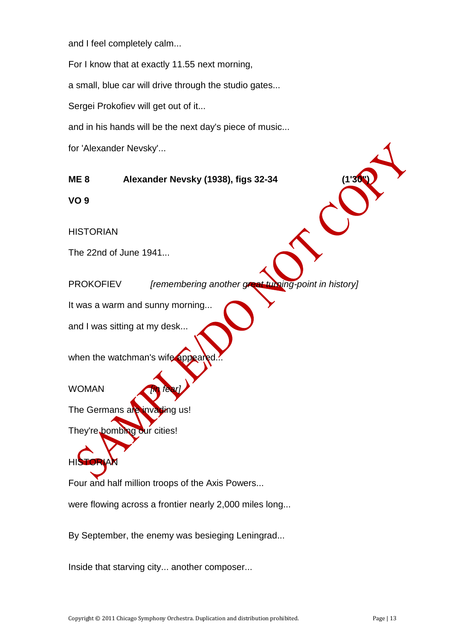and I feel completely calm...

For I know that at exactly 11.55 next morning,

a small, blue car will drive through the studio gates...

Sergei Prokofiev will get out of it...

and in his hands will be the next day's piece of music...

for 'Alexander Nevsky'...

**ME 8 Alexander Nevsky (1938), figs 32-34 (1'30")**

**VO 9**

**HISTORIAN** 

The 22nd of June 1941...

PROKOFIEV *[remembering another great turning-point in history]*

It was a warm and sunny morning...

and I was sitting at my desk...

when the watchman's wife appeared.

WOMAN *[in fear]*

HISTORIAN

The Germans are invading us!

They're bombing our cities!

Four and half million troops of the Axis Powers...

were flowing across a frontier nearly 2,000 miles long...

By September, the enemy was besieging Leningrad...

Inside that starving city... another composer...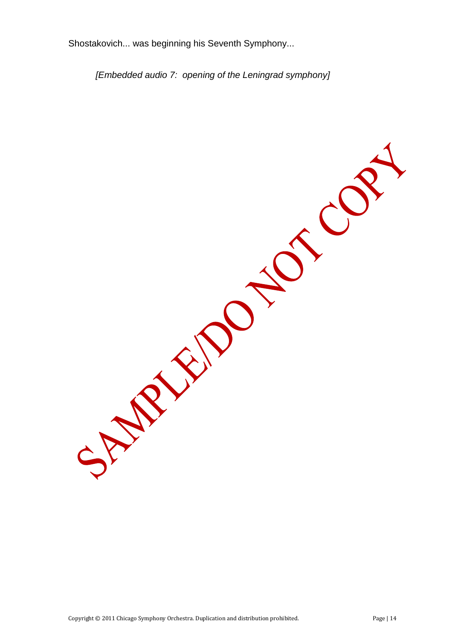Shostakovich... was beginning his Seventh Symphony...

*[Embedded audio 7: opening of the Leningrad symphony]*

SCOS SPARINGS -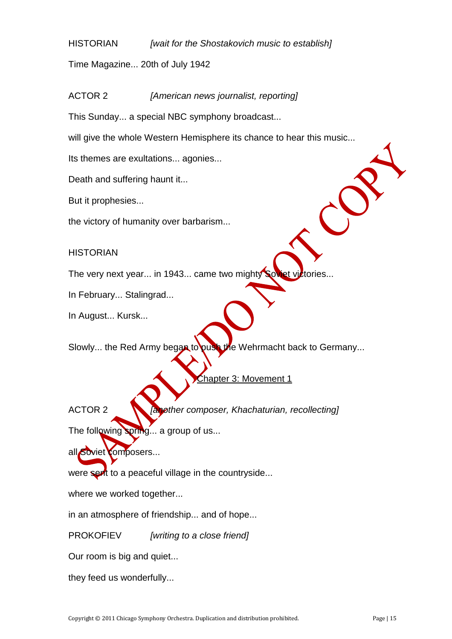HISTORIAN *[wait for the Shostakovich music to establish]*

Time Magazine... 20th of July 1942

ACTOR 2 *[American news journalist, reporting]*

This Sunday... a special NBC symphony broadcast...

will give the whole Western Hemisphere its chance to hear this music...

Its themes are exultations... agonies...

Death and suffering haunt it...

But it prophesies...

the victory of humanity over barbarism...

**HISTORIAN** 

The very next year... in 1943... came two mighty Soviet victories...

In February... Stalingrad...

In August... Kursk...

Slowly... the Red Army began to push the Wehrmacht back to Germany...

Chapter 3: Movement 1

ACTOR 2 *[another composer, Khachaturian, recollecting]*

The following spring... a group of us...

all Soviet composers...

were sent to a peaceful village in the countryside...

where we worked together...

in an atmosphere of friendship... and of hope...

PROKOFIEV *[writing to a close friend]*

Our room is big and quiet...

they feed us wonderfully...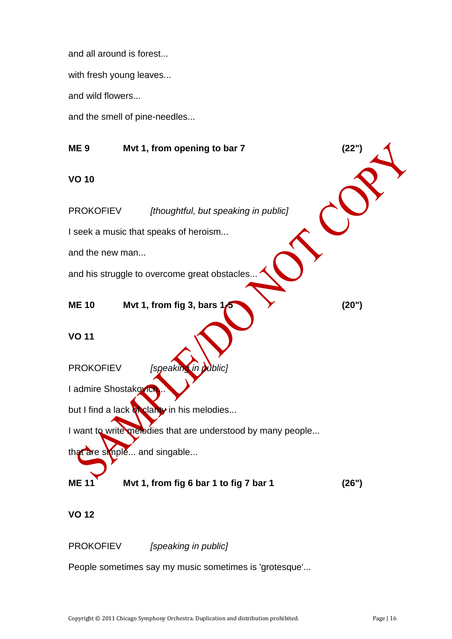and all around is forest...

with fresh young leaves...

and wild flowers...

and the smell of pine-needles...

**ME 9 Mvt 1, from opening to bar 7 (22") VO 10** PROKOFIEV *[thoughtful, but speaking in public]* I seek a music that speaks of heroism... and the new man... and his struggle to overcome great obstacles **ME 10 Mvt 1, from fig 3, bars 1-5 (20") VO 11** PROKOFIEV *[speak* I admire Shostakovich but I find a lack of clarity in his melodies... I want to write melodies that are understood by many people... that are simple... and singable... **ME 11 Mvt 1, from fig 6 bar 1 to fig 7 bar 1 (26")**

**VO 12**

PROKOFIEV *[speaking in public]*

People sometimes say my music sometimes is 'grotesque'...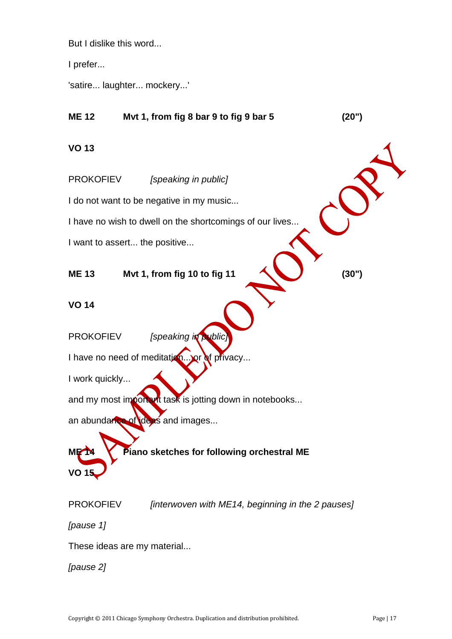But I dislike this word...

I prefer...

'satire... laughter... mockery...'

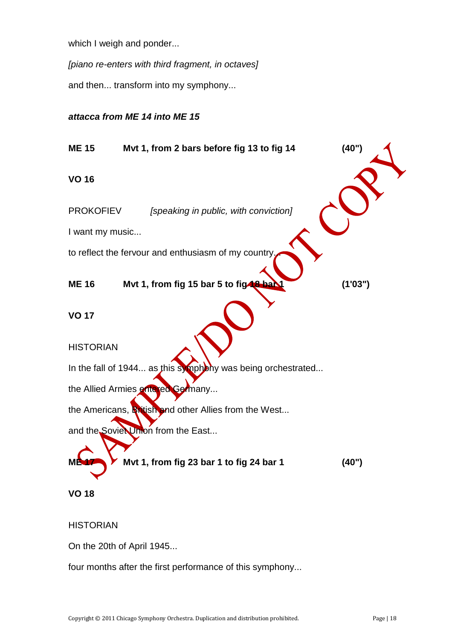which I weigh and ponder...

*[piano re-enters with third fragment, in octaves]*

and then... transform into my symphony...

# *attacca from ME 14 into ME 15*



#### **HISTORIAN**

On the 20th of April 1945...

four months after the first performance of this symphony...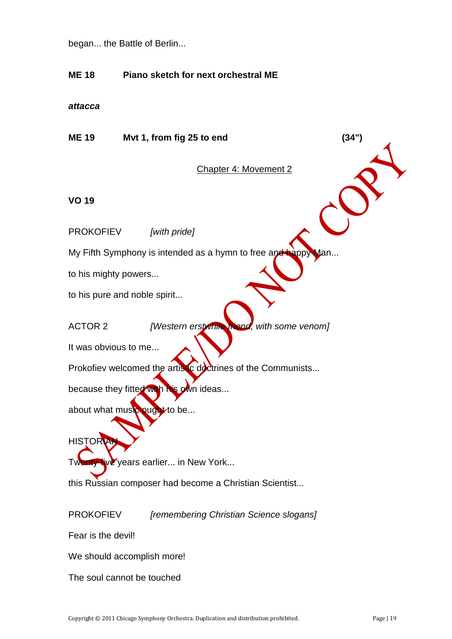began... the Battle of Berlin...

# **ME 18 Piano sketch for next orchestral ME**

*attacca*

**ME 19 Mvt 1, from fig 25 to end (34")**

Chapter 4: Movement 2

**VO 19**

PROKOFIEV *[with pride]*

My Fifth Symphony is intended as a hymn to free and happy Man...

to his mighty powers...

to his pure and noble spirit...

ACTOR 2 *[Western erstwhile friend, with some venom]*

It was obvious to me...

Prokofiev welcomed the artistic doctrines of the Communists...

because they fitted with his own ideas...

about what music ought to be...

**HISTORY** 

Twenty-five years earlier... in New York...

this Russian composer had become a Christian Scientist...

PROKOFIEV *[remembering Christian Science slogans]*

Fear is the devil!

We should accomplish more!

The soul cannot be touched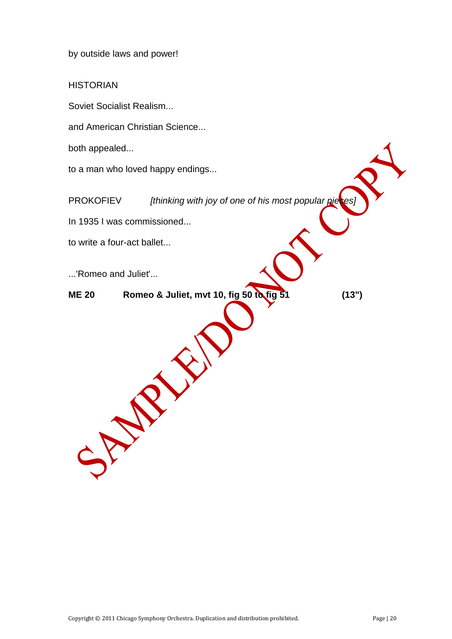by outside laws and power!

**HISTORIAN** 

Soviet Socialist Realism...

and American Christian Science...

both appealed...

to a man who loved happy endings...

PROKOFIEV *[thinking with joy of one of his most popular pieces]* 

In 1935 I was commissioned...

SP PRI

to write a four-act ballet...

...'Romeo and Juliet'...

**ME 20 Romeo & Juliet, mvt 10, fig 50 to fig 51 (13")**